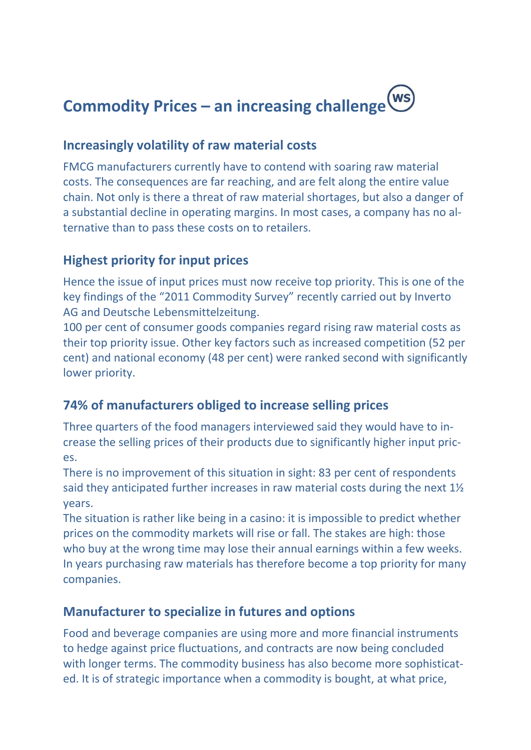

#### **Increasingly volatility of raw material costs**

FMCG manufacturers currently have to contend with soaring raw material costs. The consequences are far reaching, and are felt along the entire value chain. Not only is there a threat of raw material shortages, but also a danger of a substantial decline in operating margins. In most cases, a company has no alternative than to pass these costs on to retailers.

## **Highest priority for input prices**

Hence the issue of input prices must now receive top priority. This is one of the key findings of the "2011 Commodity Survey" recently carried out by Inverto AG and Deutsche Lebensmittelzeitung.

100 per cent of consumer goods companies regard rising raw material costs as their top priority issue. Other key factors such as increased competition (52 per cent) and national economy (48 per cent) were ranked second with significantly lower priority.

# **74% of manufacturers obliged to increase selling prices**

Three quarters of the food managers interviewed said they would have to increase the selling prices of their products due to significantly higher input prices.

There is no improvement of this situation in sight: 83 per cent of respondents said they anticipated further increases in raw material costs during the next 1½ years.

The situation is rather like being in a casino: it is impossible to predict whether prices on the commodity markets will rise or fall. The stakes are high: those who buy at the wrong time may lose their annual earnings within a few weeks. In years purchasing raw materials has therefore become a top priority for many companies.

### **Manufacturer to specialize in futures and options**

Food and beverage companies are using more and more financial instruments to hedge against price fluctuations, and contracts are now being concluded with longer terms. The commodity business has also become more sophisticated. It is of strategic importance when a commodity is bought, at what price,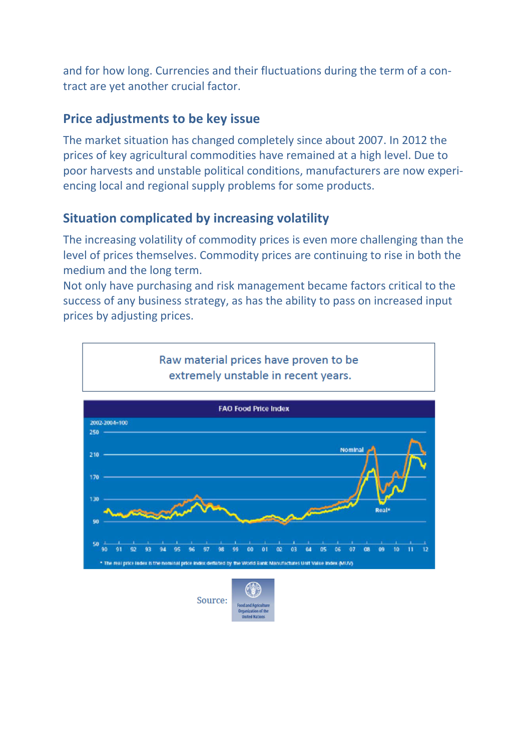and for how long. Currencies and their fluctuations during the term of a contract are yet another crucial factor.

#### **Price adjustments to be key issue**

The market situation has changed completely since about 2007. In 2012 the prices of key agricultural commodities have remained at a high level. Due to poor harvests and unstable political conditions, manufacturers are now experiencing local and regional supply problems for some products.

### **Situation complicated by increasing volatility**

The increasing volatility of commodity prices is even more challenging than the level of prices themselves. Commodity prices are continuing to rise in both the medium and the long term.

Not only have purchasing and risk management became factors critical to the success of any business strategy, as has the ability to pass on increased input prices by adjusting prices.